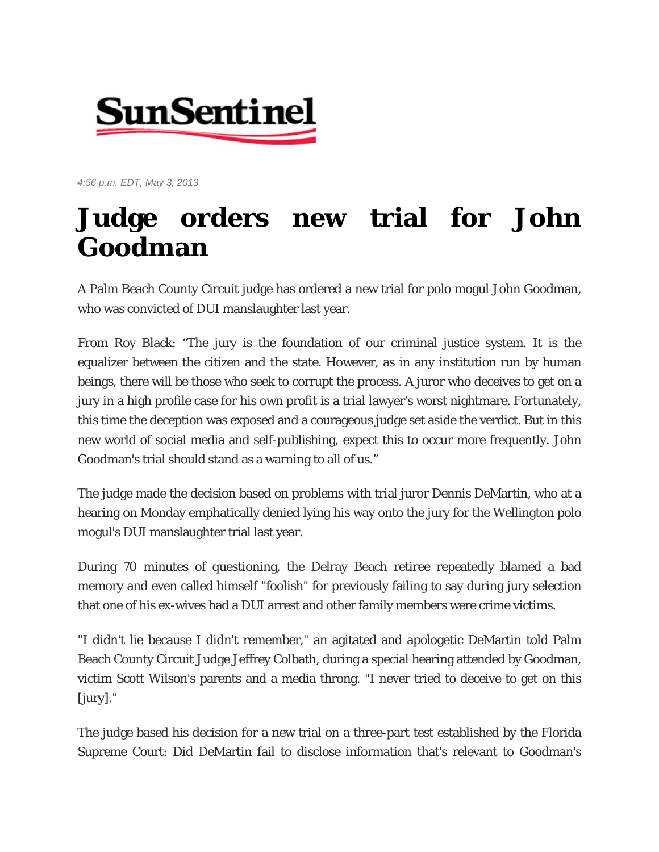

*4:56 p.m. EDT, May 3, 2013* 

## **Judge orders new trial for John Goodman**

A Palm Beach County Circuit judge has ordered a new trial for polo mogul John Goodman, who was convicted of DUI manslaughter last year.

From Roy Black: "The jury is the foundation of our criminal justice system. It is the equalizer between the citizen and the state. However, as in any institution run by human beings, there will be those who seek to corrupt the process. A juror who deceives to get on a jury in a high profile case for his own profit is a trial lawyer's worst nightmare. Fortunately, this time the deception was exposed and a courageous judge set aside the verdict. But in this new world of social media and self-publishing, expect this to occur more frequently. John Goodman's trial should stand as a warning to all of us."

The judge made the decision based on problems with trial juror Dennis DeMartin, who at a hearing on Monday emphatically denied lying his way onto the jury for the Wellington polo mogul's DUI manslaughter trial last year.

During 70 minutes of questioning, the Delray Beach retiree repeatedly blamed a bad memory and even called himself "foolish" for previously failing to say during jury selection that one of his ex-wives had a DUI arrest and other family members were crime victims.

"I didn't lie because I didn't remember," an agitated and apologetic DeMartin told Palm Beach County Circuit Judge Jeffrey Colbath, during a special hearing attended by Goodman, victim Scott Wilson's parents and a media throng. "I never tried to deceive to get on this [jury]."

The judge based his decision for a new trial on a three-part test established by the Florida Supreme Court: Did DeMartin fail to disclose information that's relevant to Goodman's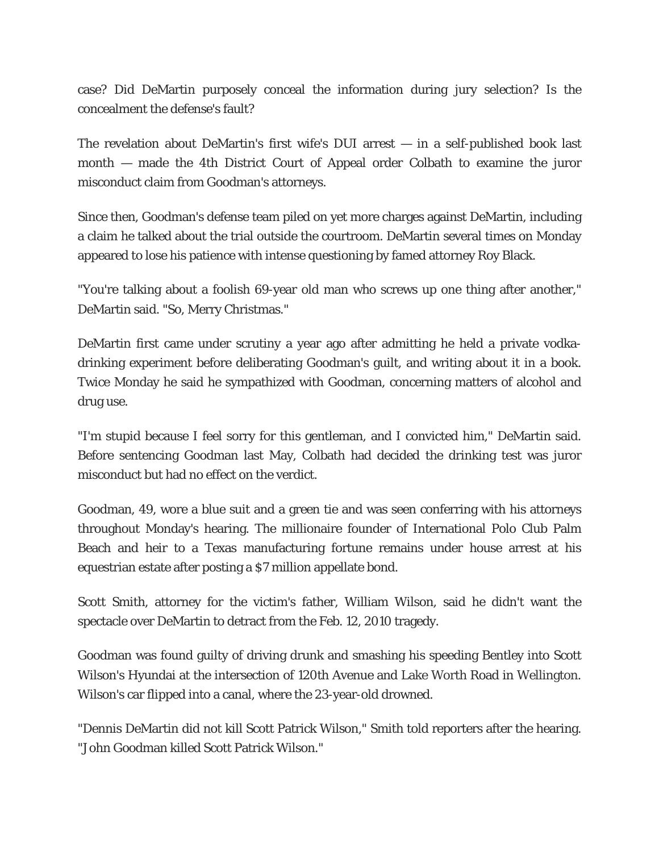case? Did DeMartin purposely conceal the information during jury selection? Is the concealment the defense's fault?

The revelation about DeMartin's first wife's DUI arrest — in a self-published book last month — made the 4th District Court of Appeal order Colbath to examine the juror misconduct claim from Goodman's attorneys.

Since then, Goodman's defense team piled on yet more charges against DeMartin, including a claim he talked about the trial outside the courtroom. DeMartin several times on Monday appeared to lose his patience with intense questioning by famed attorney Roy Black.

"You're talking about a foolish 69-year old man who screws up one thing after another," DeMartin said. "So, Merry Christmas."

DeMartin first came under scrutiny a year ago after admitting he held a private vodkadrinking experiment before deliberating Goodman's guilt, and writing about it in a book. Twice Monday he said he sympathized with Goodman, concerning matters of alcohol and drug use.

"I'm stupid because I feel sorry for this gentleman, and I convicted him," DeMartin said. Before sentencing Goodman last May, Colbath had decided the drinking test was juror misconduct but had no effect on the verdict.

Goodman, 49, wore a blue suit and a green tie and was seen conferring with his attorneys throughout Monday's hearing. The millionaire founder of International Polo Club Palm Beach and heir to a Texas manufacturing fortune remains under house arrest at his equestrian estate after posting a \$7 million appellate bond.

Scott Smith, attorney for the victim's father, William Wilson, said he didn't want the spectacle over DeMartin to detract from the Feb. 12, 2010 tragedy.

Goodman was found guilty of driving drunk and smashing his speeding Bentley into Scott Wilson's Hyundai at the intersection of 120th Avenue and Lake Worth Road in Wellington. Wilson's car flipped into a canal, where the 23-year-old drowned.

"Dennis DeMartin did not kill Scott Patrick Wilson," Smith told reporters after the hearing. "John Goodman killed Scott Patrick Wilson."